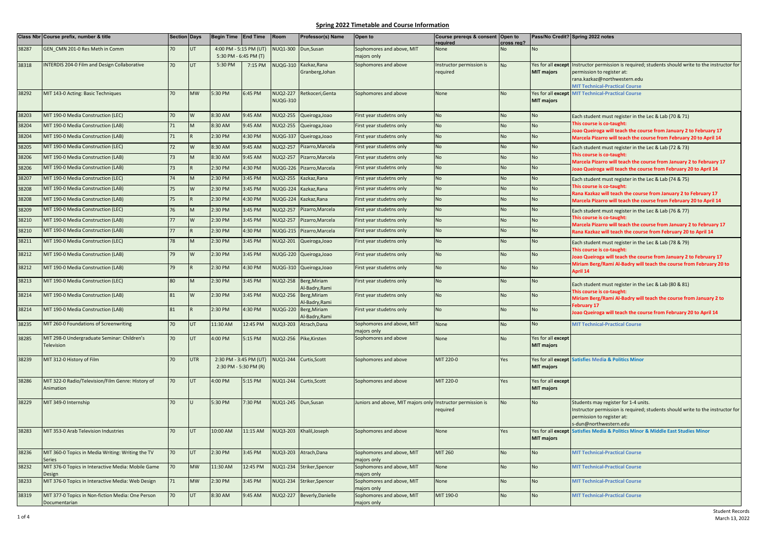|       | Class Nbr Course prefix, number & title                      | Section Days    |            | Begin Time End Time    |                       | Room                               | Professor(s) Name               | Open to                                                     | Course prereqs & consent Open to     |                  |                    | Pass/No Credit? Spring 2022 notes                                                                                                                                                 |
|-------|--------------------------------------------------------------|-----------------|------------|------------------------|-----------------------|------------------------------------|---------------------------------|-------------------------------------------------------------|--------------------------------------|------------------|--------------------|-----------------------------------------------------------------------------------------------------------------------------------------------------------------------------------|
| 38287 | GEN CMN 201-0 Res Meth in Comm                               | 70              | UT         | 4:00 PM - 5:15 PM (UT) |                       | <b>VUQ1-300</b>                    | Dun, Susan                      | Sophomores and above, MIT                                   | reauired<br><b>None</b>              | cross reg?<br>No | No                 |                                                                                                                                                                                   |
|       |                                                              |                 |            |                        | 5:30 PM - 6:45 PM (T) |                                    |                                 | najors only                                                 |                                      |                  |                    |                                                                                                                                                                                   |
| 38318 | <b>INTERDIS 204-0 Film and Design Collaborative</b>          | 70              | <b>UT</b>  | 5:30 PM                | 7:15 PM               | <b>NUQG-310</b>                    | Kazkaz, Rana<br>Granberg, Johan | Sophomores and above                                        | Instructor permission is<br>required | <b>No</b>        | <b>MIT majors</b>  | Yes for all except Instructor permission is required; students should write to the instructor for<br>permission to register at:                                                   |
|       |                                                              |                 |            |                        |                       |                                    |                                 |                                                             |                                      |                  |                    | rana.kazkaz@northwestern.edu                                                                                                                                                      |
|       |                                                              |                 |            |                        |                       |                                    |                                 |                                                             |                                      |                  |                    | <b>MIT Technical-Practical Course</b>                                                                                                                                             |
| 38292 | MIT 143-0 Acting: Basic Techniques                           | 70              | <b>MW</b>  | 5:30 PM                | 6:45 PM               | <b>NUQ2-227</b><br><b>NUQG-310</b> | Retkoceri, Genta                | Sophomores and above                                        | None                                 | No               | <b>MIT majors</b>  | Yes for all except MIT Technical-Practical Course                                                                                                                                 |
|       |                                                              |                 |            |                        |                       |                                    |                                 |                                                             |                                      |                  |                    |                                                                                                                                                                                   |
| 38203 | MIT 190-0 Media Construction (LEC)                           | $\overline{20}$ | W          | 8:30 AM                | 9:45 AM               | <b>VUQ2-255</b>                    | Queiroga, Joao                  | First year studetns only                                    | <b>No</b>                            | No               | <b>No</b>          | Each student must register in the Lec & Lab (70 & 71)                                                                                                                             |
| 38204 | MIT 190-0 Media Construction (LAB)                           | 71              | M          | 8:30 AM                | 9:45 AM               | <b>NUQ2-255</b>                    | Queiroga, Joao                  | First year studetns only                                    | No                                   | No               | No                 | This course is co-taught:<br>oao Queiroga will teach the course from January 2 to February 17                                                                                     |
| 38204 | MIT 190-0 Media Construction (LAB)                           | 71              |            | 2:30 PM                | 4:30 PM               | VUQG-337                           | Queiroga, Joao                  | First year studetns only                                    | No                                   | No               | <b>No</b>          | Marcela Pizarro will teach the course from February 20 to April 14                                                                                                                |
| 38205 | MIT 190-0 Media Construction (LEC)                           | 72              | W          | 8:30 AM                | 9:45 AM               | <b>VUQ2-257</b>                    | Pizarro, Marcela                | First year studetns only                                    | <b>No</b>                            | No               | <b>No</b>          | Each student must register in the Lec & Lab (72 & 73)                                                                                                                             |
| 38206 | MIT 190-0 Media Construction (LAB)                           | 73              |            | 8:30 AM                | 9:45 AM               | <b>VUQ2-257</b>                    | Pizarro, Marcela                | First year studetns only                                    | <b>No</b>                            | No               | No                 | This course is co-taught:<br>Marcela Pizarro will teach the course from January 2 to February 17                                                                                  |
| 38206 | MIT 190-0 Media Construction (LAB)                           | 73              |            | 2:30 PM                | 4:30 PM               | <b>NUQG-226</b>                    | Pizarro, Marcela                | First year studetns only                                    | <b>No</b>                            | No               | <b>No</b>          | loao Queiroga will teach the course from February 20 to April 14                                                                                                                  |
| 38207 | MIT 190-0 Media Construction (LEC)                           | 74              | M          | 2:30 PM                | 3:45 PM               | <b>VUQ2-255</b>                    | Kazkaz, Rana                    | First year studetns only                                    | <b>No</b>                            | No               | <b>No</b>          | Each student must register in the Lec & Lab (74 & 75)                                                                                                                             |
| 38208 | MIT 190-0 Media Construction (LAB)                           | 75              | W          | 2:30 PM                | 3:45 PM               | <b>NUQG-224</b>                    | Kazkaz, Rana                    | First year studetns only                                    | No                                   | No               | No                 | This course is co-taught:                                                                                                                                                         |
| 38208 | MIT 190-0 Media Construction (LAB)                           | 75              |            | 2:30 PM                | 4:30 PM               | <b>NUQG-224</b>                    | Kazkaz, Rana                    | First year studetns only                                    | <b>No</b>                            | No               | <b>No</b>          | Rana Kazkaz will teach the course from January 2 to February 17<br>Marcela Pizarro will teach the course from February 20 to April 14                                             |
| 38209 | MIT 190-0 Media Construction (LEC)                           | 76              | M          | 2:30 PM                | 3:45 PM               | <b>NUQ2-257</b>                    | Pizarro, Marcela                | First year studetns only                                    | <b>No</b>                            | No               | <b>No</b>          | Each student must register in the Lec & Lab (76 & 77)                                                                                                                             |
| 38210 | MIT 190-0 Media Construction (LAB)                           | 77              | W          | 2:30 PM                | 3:45 PM               | <b>NUQ2-257</b>                    | Pizarro, Marcela                | First year studetns only                                    | <b>No</b>                            | No               | <b>No</b>          | This course is co-taught:                                                                                                                                                         |
| 38210 | MIT 190-0 Media Construction (LAB)                           | 77              |            | 2:30 PM                | 4:30 PM               | <b>NUQG-215</b>                    | Pizarro, Marcela                | First year studetns only                                    | <b>No</b>                            | No               | <b>No</b>          | Marcela Pizarro will teach the course from January 2 to February 17<br>Rana Kazkaz will teach the course from February 20 to April 14                                             |
| 38211 | MIT 190-0 Media Construction (LEC)                           | 78              | M          | 2:30 PM                | 3:45 PM               | <b>NUQ2-201</b>                    | Queiroga, Joao                  | First year studetns only                                    | <b>No</b>                            | No               | <b>No</b>          | Each student must register in the Lec & Lab (78 & 79)                                                                                                                             |
|       |                                                              |                 |            |                        |                       |                                    |                                 |                                                             |                                      |                  |                    | This course is co-taught:<br>loao Queiroga will teach the course from January 2 to February 17<br>Miriam Berg/Rami Al-Badry will teach the course from February 20 to<br>April 14 |
| 38212 | MIT 190-0 Media Construction (LAB)                           | 79              | W          | 2:30 PM                | 3:45 PM               | JUQG-220                           | Queiroga, Joao                  | First year studetns only                                    | <b>No</b>                            | No               | <b>No</b>          |                                                                                                                                                                                   |
| 38212 | MIT 190-0 Media Construction (LAB)                           | 79              |            | 2:30 PM                | 4:30 PM               | JUQG-310                           | Queiroga, Joao                  | First year studetns only                                    | No                                   | No               | <b>No</b>          |                                                                                                                                                                                   |
| 38213 | MIT 190-0 Media Construction (LEC)                           | 80              | M          | 2:30 PM                | 3:45 PM               | <b>NUQ2-258</b>                    | Berg, Miriam                    | First year studetns only                                    | <b>No</b>                            | No               | <b>No</b>          |                                                                                                                                                                                   |
|       |                                                              |                 |            |                        |                       |                                    | Al-Badry, Rami                  |                                                             |                                      |                  |                    | Each student must register in the Lec & Lab (80 & 81)<br>This course is co-taught:                                                                                                |
| 38214 | MIT 190-0 Media Construction (LAB)                           | 81              | W          | 2:30 PM                | 3:45 PM               | <b>NUQ2-256</b>                    | Berg, Miriam<br>Al-Badry, Rami  | First year studetns only                                    | <b>No</b>                            | No               | <b>No</b>          | Miriam Berg/Rami Al-Badry will teach the course from January 2 to                                                                                                                 |
| 38214 | MIT 190-0 Media Construction (LAB)                           | 81              |            | 2:30 PM                | 4:30 PM               | <b>NUQG-220</b>                    | Berg, Miriam                    | First year studetns only                                    | <b>No</b>                            | No               | <b>No</b>          | ebruary 17<br>oao Queiroga will teach the course from February 20 to April 14                                                                                                     |
| 38235 | MIT 260-0 Foundations of Screenwriting                       | 70              | <b>UT</b>  | 11:30 AM               | 12:45 PM              | <b>VUQ3-203</b>                    | Al-Badry, Rami<br>Atrach.Dana   | Sophomores and above, MIT                                   | None                                 | No               | <b>No</b>          | <b>MIT Technical-Practical Course</b>                                                                                                                                             |
|       |                                                              |                 |            |                        |                       |                                    |                                 | majors only                                                 |                                      |                  |                    |                                                                                                                                                                                   |
| 38285 | MIT 298-0 Undergraduate Seminar: Children's                  | 70              | <b>UT</b>  | 4:00 PM                | 5:15 PM               | <b>JUQ2-256</b>                    | Pike, Kirsten                   | Sophomores and above                                        | None                                 | No               | Yes for all except |                                                                                                                                                                                   |
|       | Television                                                   |                 |            |                        |                       |                                    |                                 |                                                             |                                      |                  | <b>MIT majors</b>  |                                                                                                                                                                                   |
| 38239 | MIT 312-0 History of Film                                    | 70              | <b>UTR</b> | 2:30 PM - 3:45 PM (UT) |                       | NUQ1-244                           | Curtis, Scott                   | Sophomores and above                                        | MIT 220-0                            | Yes              |                    | Yes for all except Satisfies Media & Politics Minor                                                                                                                               |
|       |                                                              |                 |            | 2:30 PM - 5:30 PM (R)  |                       |                                    |                                 |                                                             |                                      |                  | <b>MIT majors</b>  |                                                                                                                                                                                   |
| 38286 | MIT 322-0 Radio/Television/Film Genre: History of            | 70              | <b>IUT</b> | 4:00 PM                | 5:15 PM               | <b>NUQ1-244</b>                    | Curtis, Scott                   | Sophomores and above                                        | MIT 220-0                            | Yes              | Yes for all except |                                                                                                                                                                                   |
|       | Animation                                                    |                 |            |                        |                       |                                    |                                 |                                                             |                                      |                  | <b>MIT majors</b>  |                                                                                                                                                                                   |
| 38229 | MIT 349-0 Internship                                         | 70              | $\cup$     | 5:30 PM                | 7:30 PM               | NUQ1-245 Dun, Susan                |                                 | Juniors and above, MIT majors only Instructor permission is |                                      | <b>No</b>        | <b>No</b>          | Students may register for 1-4 units.                                                                                                                                              |
|       |                                                              |                 |            |                        |                       |                                    |                                 |                                                             | equired                              |                  |                    | Instructor permission is required; students should write to the instructor for                                                                                                    |
|       |                                                              |                 |            |                        |                       |                                    |                                 |                                                             |                                      |                  |                    | permission to register at:<br>s-dun@northwestern.edu                                                                                                                              |
| 38283 | MIT 353-0 Arab Television Industries                         | 70              | UT         | 10:00 AM               | 11:15 AM              | <b>NUQ3-203</b>                    | Khalil, Joseph                  | Sophomores and above                                        | None                                 | Yes              |                    | Yes for all except Satisfies Media & Politics Minor & Middle East Studies Minor                                                                                                   |
|       |                                                              |                 |            |                        |                       |                                    |                                 |                                                             |                                      |                  | <b>MIT majors</b>  |                                                                                                                                                                                   |
| 38236 | MIT 360-0 Topics in Media Writing: Writing the TV            | 70              | <b>UT</b>  | 2:30 PM                | 3:45 PM               | <b>VUQ3-203</b>                    | Atrach, Dana                    | Sophomores and above, MIT                                   | MIT 260                              | No               | <b>No</b>          | <b>MIT Technical-Practical Course</b>                                                                                                                                             |
| 38232 | Series<br>MIT 376-0 Topics in Interactive Media: Mobile Game | 70              | <b>MW</b>  | 11:30 AM               | 12:45 PM              |                                    |                                 | majors only<br>Sophomores and above, MIT                    | None                                 |                  | <b>No</b>          | <b>MIT Technical-Practical Course</b>                                                                                                                                             |
|       | <b>Design</b>                                                |                 |            |                        |                       | <b>NUQ1-234</b>                    | Striker, Spencer                | najors only                                                 |                                      | No               |                    |                                                                                                                                                                                   |
| 38233 | MIT 376-0 Topics in Interactive Media: Web Design            | 71              | <b>MW</b>  | 2:30 PM                | 3:45 PM               |                                    | NUQ1-234 Striker, Spencer       | Sophomores and above, MIT                                   | None                                 | No               | <b>No</b>          | <b>MIT Technical-Practical Course</b>                                                                                                                                             |
| 38319 | MIT 377-0 Topics in Non-fiction Media: One Person            | 70              | <b>UT</b>  | 8:30 AM                | 9:45 AM               | <b>VUQ2-227</b>                    | Beverly, Danielle               | majors only<br>Sophomores and above, MIT                    | MIT 190-0                            | <b>No</b>        | <b>No</b>          | <b>MIT Technical-Practical Course</b>                                                                                                                                             |
|       | Documentarian                                                |                 |            |                        |                       |                                    |                                 | majors only                                                 |                                      |                  |                    |                                                                                                                                                                                   |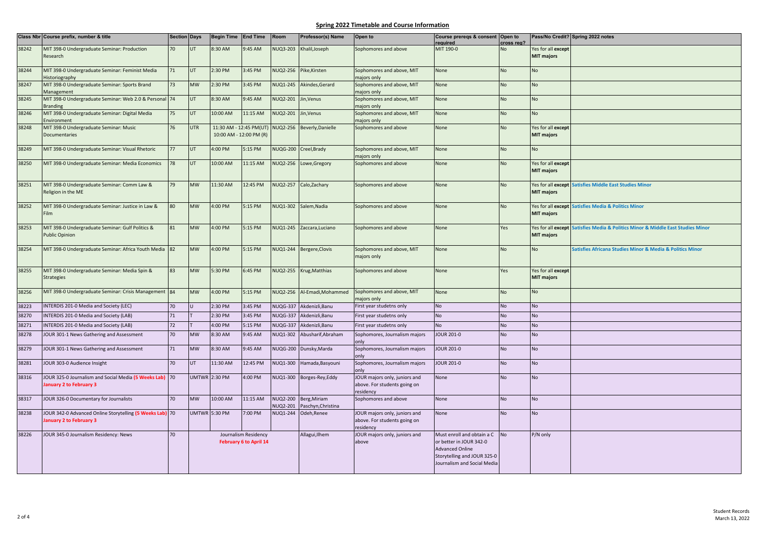|       | Class Nbr Course prefix, number & title                                             | <b>Section Days</b> |            | Begin Time End Time  |                                                       | Room                 | Professor(s) Name                  | Open to                                                                    | Course prereqs & consent Open to<br>reauired                                                                                                  | cross reg? |                                         | Pass/No Credit? Spring 2022 notes                                               |
|-------|-------------------------------------------------------------------------------------|---------------------|------------|----------------------|-------------------------------------------------------|----------------------|------------------------------------|----------------------------------------------------------------------------|-----------------------------------------------------------------------------------------------------------------------------------------------|------------|-----------------------------------------|---------------------------------------------------------------------------------|
| 38242 | MIT 398-0 Undergraduate Seminar: Production                                         | 70                  | UT.        | 8:30 AM              | 9:45 AM                                               | <b>NUQ3-203</b>      | Khalil, Joseph                     | Sophomores and above                                                       | MIT 190-0                                                                                                                                     | <b>No</b>  | Yes for all except                      |                                                                                 |
|       | Research                                                                            |                     |            |                      |                                                       |                      |                                    |                                                                            |                                                                                                                                               |            | <b>MIT majors</b>                       |                                                                                 |
| 38244 | MIT 398-0 Undergraduate Seminar: Feminist Media<br><b>Historiography</b>            | 71                  | <b>UT</b>  | 2:30 PM              | 3:45 PM                                               | NUQ2-256             | Pike, Kirsten                      | Sophomores and above, MIT<br>majors only                                   | None                                                                                                                                          | <b>No</b>  | <b>No</b>                               |                                                                                 |
| 38247 | MIT 398-0 Undergraduate Seminar: Sports Brand<br>Management                         | 73                  | <b>MW</b>  | 2:30 PM              | 3:45 PM                                               | NUQ1-245             | Akindes, Gerard                    | Sophomores and above, MIT<br>majors only                                   | None                                                                                                                                          | <b>No</b>  | <b>No</b>                               |                                                                                 |
| 38245 | MIT 398-0 Undergraduate Seminar: Web 2.0 & Personal 74                              |                     | UT.        | 8:30 AM              | 9:45 AM                                               | NUQ2-201             | Jin, Venus                         | Sophomores and above, MIT                                                  | None                                                                                                                                          | <b>No</b>  | <b>No</b>                               |                                                                                 |
|       | <b>Branding</b>                                                                     |                     |            |                      |                                                       |                      |                                    | majors only                                                                |                                                                                                                                               |            |                                         |                                                                                 |
| 38246 | MIT 398-0 Undergraduate Seminar: Digital Media<br>Environment                       | 75                  | <b>UT</b>  | 10:00 AM             | 11:15 AM                                              | NUQ2-201             | Jin, Venus                         | Sophomores and above, MIT<br>majors only                                   | None                                                                                                                                          | <b>No</b>  | <b>No</b>                               |                                                                                 |
| 38248 | MIT 398-0 Undergraduate Seminar: Music<br><b>Documentaries</b>                      | 76                  | <b>UTR</b> |                      | 11:30 AM - 12:45 PM(UT)<br>10:00 AM - 12:00 PM (R)    | NUQ2-256             | Beverly, Danielle                  | Sophomores and above                                                       | None                                                                                                                                          | <b>No</b>  | Yes for all except<br><b>MIT majors</b> |                                                                                 |
| 38249 | MIT 398-0 Undergraduate Seminar: Visual Rhetoric                                    | 77                  | UT         | 4:00 PM              | 5:15 PM                                               |                      | NUQG-200 Creel, Brady              | Sophomores and above, MIT<br>majors only                                   | None                                                                                                                                          | <b>No</b>  | <b>No</b>                               |                                                                                 |
| 38250 | MIT 398-0 Undergraduate Seminar: Media Economics                                    | 78                  | UT         | 10:00 AM             | 11:15 AM                                              | NUQ2-256             | Lowe, Gregory                      | Sophomores and above                                                       | None                                                                                                                                          | <b>No</b>  | Yes for all except<br><b>MIT majors</b> |                                                                                 |
| 38251 | MIT 398-0 Undergraduate Seminar: Comm Law &<br>Religion in the ME                   | 79                  | <b>MW</b>  | 11:30 AM             | 12:45 PM                                              | NUQ2-257             | Calo, Zachary                      | Sophomores and above                                                       | None                                                                                                                                          | <b>No</b>  | <b>MIT majors</b>                       | Yes for all except Satisfies Middle East Studies Minor                          |
| 38252 | MIT 398-0 Undergraduate Seminar: Justice in Law &                                   | 80                  | <b>MW</b>  | 4:00 PM              | 5:15 PM                                               |                      | NUQ1-302 Salem, Nadia              | Sophomores and above                                                       | None                                                                                                                                          | <b>No</b>  | <b>MIT majors</b>                       | Yes for all except Satisfies Media & Politics Minor                             |
| 38253 | MIT 398-0 Undergraduate Seminar: Gulf Politics &<br><b>Public Opinion</b>           | 81                  | <b>MW</b>  | 4:00 PM              | 5:15 PM                                               |                      | NUQ1-245 Zaccara, Luciano          | Sophomores and above                                                       | None                                                                                                                                          | Yes        | <b>MIT majors</b>                       | Yes for all except Satisfies Media & Politics Minor & Middle East Studies Minor |
| 38254 | MIT 398-0 Undergraduate Seminar: Africa Youth Media 82                              |                     | <b>MW</b>  | 4:00 PM              | 5:15 PM                                               |                      | NUQ1-244 Bergere, Clovis           | Sophomores and above, MIT<br>majors only                                   | None                                                                                                                                          | <b>No</b>  | <b>No</b>                               | Satisfies Africana Studies Minor & Media & Politics Minor                       |
| 38255 | MIT 398-0 Undergraduate Seminar: Media Spin &<br><b>Strategies</b>                  | 83                  | <b>MW</b>  | 5:30 PM              | 6:45 PM                                               |                      | NUQ2-255 Krug, Matthias            | Sophomores and above                                                       | None                                                                                                                                          | Yes        | Yes for all except<br><b>MIT majors</b> |                                                                                 |
| 38256 | MIT 398-0 Undergraduate Seminar: Crisis Management 84                               |                     | <b>MW</b>  | 4:00 PM              | 5:15 PM                                               | <b>NUQ2-256</b>      | Al-Emadi, Mohammed                 | Sophomores and above, MIT<br>majors only                                   | None                                                                                                                                          | <b>No</b>  | <b>No</b>                               |                                                                                 |
| 38223 | INTERDIS 201-0 Media and Society (LEC)                                              | 70                  |            | 2:30 PM              | 3:45 PM                                               | <b>NUQG-337</b>      | Akdenizli.Banu                     | First year studetns only                                                   | <b>No</b>                                                                                                                                     | <b>No</b>  | <b>No</b>                               |                                                                                 |
| 38270 | INTERDIS 201-0 Media and Society (LAB)                                              | 71                  |            | 2:30 PM              | 3:45 PM                                               | NUQG-337             | Akdenizli, Banu                    | First year studetns only                                                   | No                                                                                                                                            | <b>No</b>  | <b>No</b>                               |                                                                                 |
| 38271 | INTERDIS 201-0 Media and Society (LAB)                                              | 72                  |            | 4:00 PM              | 5:15 PM                                               | NUQG-337             | Akdenizli, Banu                    | First year studetns only                                                   | <b>No</b>                                                                                                                                     | <b>No</b>  | <b>No</b>                               |                                                                                 |
| 38278 | JOUR 301-1 News Gathering and Assessment                                            | 70                  | <b>MW</b>  | 8:30 AM              | 9:45 AM                                               | NUQ1-302             | Abusharif, Abraham                 | Sophomores, Journalism majors<br>only                                      | <b>OUR 201-0</b>                                                                                                                              | <b>No</b>  | <b>No</b>                               |                                                                                 |
| 38279 | JOUR 301-1 News Gathering and Assessment                                            | 71                  | <b>MW</b>  | 8:30 AM              | 9:45 AM                                               |                      | NUQG-200 Dunsky, Marda             | Sophomores, Journalism majors<br>only                                      | <b>JOUR 201-0</b>                                                                                                                             | <b>No</b>  | <b>No</b>                               |                                                                                 |
| 38281 | JOUR 303-0 Audience Insight                                                         | 70                  | UT.        | 11:30 AM             | 12:45 PM                                              | NUQ1-300             | Hamada, Basyouni                   | Sophomores, Journalism majors<br>only                                      | JOUR 201-0                                                                                                                                    | <b>No</b>  | <b>No</b>                               |                                                                                 |
| 38316 | JOUR 325-0 Journalism and Social Media (5 Weeks Lab) 70<br>January 2 to February 3  |                     |            | <b>UMTWR</b> 2:30 PM | 4:00 PM                                               |                      | NUQ1-300 Borges-Rey,Eddy           | JOUR majors only, juniors and<br>above. For students going on<br>residency | None                                                                                                                                          | <b>No</b>  | <b>No</b>                               |                                                                                 |
| 38317 | JOUR 326-0 Documentary for Journalists                                              | 70                  | <b>MW</b>  | 10:00 AM             | 11:15 AM                                              | NUQ2-200<br>NUQ2-201 | Berg, Miriam<br>Paschyn, Christina | Sophomores and above                                                       | None                                                                                                                                          | <b>No</b>  | <b>No</b>                               |                                                                                 |
| 38238 | JOUR 342-0 Advanced Online Storytelling (5 Weeks Lab) 70<br>January 2 to February 3 |                     |            | <b>UMTWR</b> 5:30 PM | 7:00 PM                                               | NUQ1-244             | Odeh, Renee                        | JOUR majors only, juniors and<br>above. For students going on<br>residency | None                                                                                                                                          | <b>No</b>  | <b>No</b>                               |                                                                                 |
| 38226 | JOUR 345-0 Journalism Residency: News                                               | 70                  |            |                      | Journalism Residency<br><b>February 6 to April 14</b> |                      | Allagui, Ilhem                     | JOUR majors only, juniors and<br>above                                     | Must enroll and obtain a C<br>or better in JOUR 342-0<br><b>Advanced Online</b><br>Storytelling and JOUR 325-0<br>Journalism and Social Media | No         | P/N only                                |                                                                                 |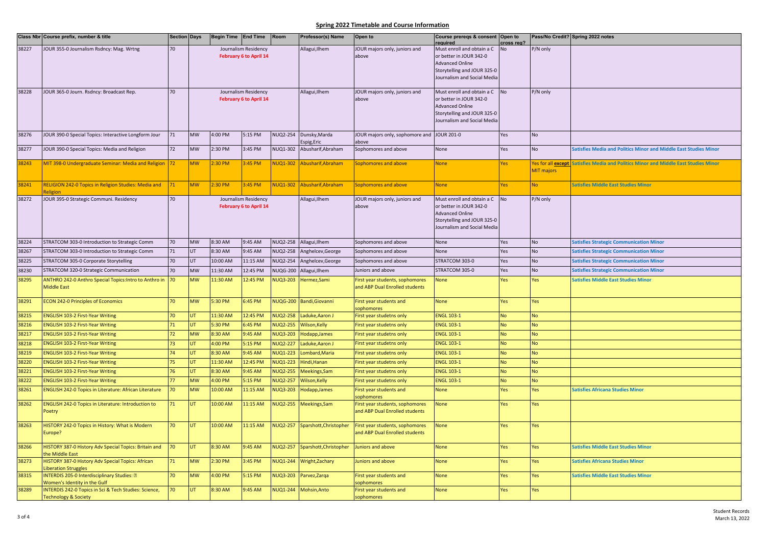|       | Class Nbr Course prefix, number & title                                      | <b>Section Days</b> |                 | Begin Time End Time |                               | Room            | Professor(s) Name            | Open to                                                           | Course prereqs & consent Open to                           |                  |                   | Pass/No Credit? Spring 2022 notes                                                   |
|-------|------------------------------------------------------------------------------|---------------------|-----------------|---------------------|-------------------------------|-----------------|------------------------------|-------------------------------------------------------------------|------------------------------------------------------------|------------------|-------------------|-------------------------------------------------------------------------------------|
| 38227 | JOUR 355-0 Journalism Rsdncy: Mag. Wrtng                                     | 70                  |                 |                     | Journalism Residency          |                 | Allagui, Ilhem               | JOUR majors only, juniors and                                     | required<br>Must enroll and obtain a C                     | cross reg?<br>No | P/N only          |                                                                                     |
|       |                                                                              |                     |                 |                     | February 6 to April 14        |                 |                              | above                                                             | or better in JOUR 342-0                                    |                  |                   |                                                                                     |
|       |                                                                              |                     |                 |                     |                               |                 |                              |                                                                   | <b>Advanced Online</b>                                     |                  |                   |                                                                                     |
|       |                                                                              |                     |                 |                     |                               |                 |                              |                                                                   | Storytelling and JOUR 325-0<br>Journalism and Social Media |                  |                   |                                                                                     |
|       |                                                                              |                     |                 |                     |                               |                 |                              |                                                                   |                                                            |                  |                   |                                                                                     |
| 38228 | JOUR 365-0 Journ. Rsdncy: Broadcast Rep.                                     | 70                  |                 |                     | Journalism Residency          |                 | Allagui, Ilhem               | JOUR majors only, juniors and                                     | Must enroll and obtain a C                                 | <b>No</b>        | P/N only          |                                                                                     |
|       |                                                                              |                     |                 |                     | <b>February 6 to April 14</b> |                 |                              | above                                                             | or better in JOUR 342-0<br><b>Advanced Online</b>          |                  |                   |                                                                                     |
|       |                                                                              |                     |                 |                     |                               |                 |                              |                                                                   | Storytelling and JOUR 325-0                                |                  |                   |                                                                                     |
|       |                                                                              |                     |                 |                     |                               |                 |                              |                                                                   | Journalism and Social Media                                |                  |                   |                                                                                     |
|       |                                                                              |                     | <b>MW</b>       |                     |                               |                 |                              |                                                                   | <b>JOUR 201-0</b>                                          |                  |                   |                                                                                     |
| 38276 | JOUR 390-0 Special Topics: Interactive Longform Jour                         | 71                  |                 | 4:00 PM             | 5:15 PM                       | VUQ2-254        | Dunsky, Marda<br>Espig, Eric | JOUR majors only, sophomore and<br>above                          |                                                            | Yes              | $\mathsf{No}$     |                                                                                     |
| 38277 | JOUR 390-0 Special Topics: Media and Religion                                | 72                  | $\textsf{MW}{}$ | 2:30 PM             | 3:45 PM                       | NUQ1-302        | Abusharif, Abraham           | Sophomores and above                                              | None                                                       | Yes              | <b>No</b>         | <b>Satisfies Media and Politics Minor and Middle East Studies Minor</b>             |
|       |                                                                              |                     |                 |                     |                               |                 |                              |                                                                   |                                                            |                  |                   |                                                                                     |
| 38243 | MIT 398-0 Undergraduate Seminar: Media and Religion 72                       |                     | <b>MW</b>       | 2:30 PM             | :45 PM                        |                 | NUQ1-302 Abusharif, Abraham  | Sophomores and above                                              | None                                                       | Yes              | <b>MIT majors</b> | Yes for all except Satisfies Media and Politics Minor and Middle East Studies Minor |
|       |                                                                              |                     |                 |                     |                               |                 |                              |                                                                   |                                                            |                  |                   |                                                                                     |
| 38241 | <b>RELIGION 242-0 Topics in Religion Studies: Media and</b>                  | 71                  | <b>MW</b>       | :30 PM              | :45 PM                        | <b>NUQ1-302</b> | Abusharif, Abraham           | Sophomores and above                                              | None                                                       | Yes              | <b>No</b>         | <b>Satisfies Middle East Studies Minor</b>                                          |
| 38272 | <b>Religion</b><br>JOUR 395-0 Strategic Communi. Residency                   | 70                  |                 |                     | Journalism Residency          |                 | Allagui, Ilhem               | JOUR majors only, juniors and                                     | Must enroll and obtain a C                                 | No               | P/N only          |                                                                                     |
|       |                                                                              |                     |                 |                     | February 6 to April 14        |                 |                              | above                                                             | or better in JOUR 342-0                                    |                  |                   |                                                                                     |
|       |                                                                              |                     |                 |                     |                               |                 |                              |                                                                   | <b>Advanced Online</b>                                     |                  |                   |                                                                                     |
|       |                                                                              |                     |                 |                     |                               |                 |                              |                                                                   | Storytelling and JOUR 325-0<br>Journalism and Social Media |                  |                   |                                                                                     |
|       |                                                                              |                     |                 |                     |                               |                 |                              |                                                                   |                                                            |                  |                   |                                                                                     |
| 38224 | STRATCOM 303-0 Introduction to Strategic Comm                                | 70                  | <b>MW</b>       | 8:30 AM             | 9:45 AM                       | NUQ2-258        | Allagui, Ilhem               | Sophomores and above                                              | None                                                       | Yes              | <b>No</b>         | <b>Satisfies Strategic Communication Minor</b>                                      |
| 38267 | STRATCOM 303-0 Introduction to Strategic Comm                                | 71                  | UT              | 8:30 AM             | 9:45 AM                       | <b>NUQ2-258</b> | Anghelcev, George            | Sophomores and above                                              | None                                                       | Yes              | <b>No</b>         | <b>Satisfies Strategic Communication Minor</b>                                      |
| 38225 | STRATCOM 305-0 Corporate Storytelling                                        | 70                  | UT              | 10:00 AM            | 11:15 AM                      | <b>NUQ2-254</b> | Anghelcev, George            | Sophomores and above                                              | STRATCOM 303-0                                             | Yes              | <b>No</b>         | <b>Satisfies Strategic Communication Minor</b>                                      |
| 38230 | STRATCOM 320-0 Strategic Communication                                       | 70                  | <b>MW</b>       | 11:30 AM            | 12:45 PM                      | <b>NUQG-200</b> | Allagui, Ilhem               | Juniors and above                                                 | STRATCOM 305-0                                             | Yes              | <b>No</b>         | <b>Satisfies Strategic Communication Minor</b>                                      |
| 38295 | ANTHRO 242-0 Anthro Special Topics: Intro to Anthro in<br><b>Middle East</b> | 70                  | <b>MW</b>       | 11:30 AM            | 12:45 PM                      | <b>NUQ3-203</b> | Hermez, Sami                 | First year students, sophomores<br>and ABP Dual Enrolled students | None                                                       | Yes              | Yes               | <b>Satisfies Middle East Studies Minor</b>                                          |
|       |                                                                              |                     |                 |                     |                               |                 |                              |                                                                   |                                                            |                  |                   |                                                                                     |
| 38291 | <b>ECON 242-0 Principles of Economics</b>                                    | 70                  | <b>MW</b>       | 5:30 PM             | 6:45 PM                       | <b>NUQG-200</b> | <b>Bandi, Giovanni</b>       | First year students and                                           | None                                                       | Yes              | Yes               |                                                                                     |
| 38215 | <b>ENGLISH 103-2 First-Year Writing</b>                                      | 70                  | UT.             | 11:30 AM            | 12:45 PM                      | NUQ2-258        | Laduke, Aaron J              | sophomores<br>First year studetns only                            | <b>ENGL 103-1</b>                                          | <b>No</b>        | <b>No</b>         |                                                                                     |
| 38216 | <b>ENGLISH 103-2 First-Year Writing</b>                                      | $\overline{1}$      | UT              | 5:30 PM             | 6:45 PM                       | <b>NUQ2-255</b> | Wilson, Kelly                | First year studetns only                                          | <b>ENGL 103-1</b>                                          | <b>No</b>        | <b>No</b>         |                                                                                     |
| 38217 | <b>ENGLISH 103-2 First-Year Writing</b>                                      | 72                  | <b>MW</b>       | 8:30 AM             | 9:45 AM                       | <b>NUQ3-203</b> | Hodapp, James                | First year studetns only                                          | <b>ENGL 103-1</b>                                          | <b>No</b>        | <b>No</b>         |                                                                                     |
| 38218 | <b>ENGLISH 103-2 First-Year Writing</b>                                      | 73                  | UT              | 4:00 PM             | 5:15 PM                       | <b>NUQ2-227</b> | Laduke, Aaron J              | First year studetns only                                          | <b>ENGL 103-1</b>                                          | <b>No</b>        | <b>No</b>         |                                                                                     |
| 38219 | <b>ENGLISH 103-2 First-Year Writing</b>                                      | 74                  | UT.             | 8:30 AM             | 9:45 AM                       | <b>NUQ1-223</b> | Lombard, Maria               | First year studetns only                                          | <b>ENGL 103-1</b>                                          | <b>No</b>        | <b>No</b>         |                                                                                     |
| 38220 | <b>ENGLISH 103-2 First-Year Writing</b>                                      | 75                  | UT              | 11:30 AM            | 12:45 PM                      | <b>NUQ1-223</b> | Hindi, Hanan                 | First year studetns only                                          | <b>ENGL 103-1</b>                                          | <b>No</b>        | <b>No</b>         |                                                                                     |
| 38221 | <b>ENGLISH 103-2 First-Year Writing</b>                                      | 76                  | UT.             | 8:30 AM             | 9:45 AM                       | <b>NUQ2-255</b> | Meekings, Sam                | First year studetns only                                          | <b>ENGL 103-1</b>                                          | <b>No</b>        | <b>No</b>         |                                                                                     |
| 38222 | <b>ENGLISH 103-2 First-Year Writing</b>                                      | 77                  | <b>MW</b>       | 4:00 PM             | 5:15 PM                       | <b>VUQ2-257</b> | Wilson, Kelly                | First year studetns only                                          | <b>ENGL 103-1</b>                                          | No               | <b>No</b>         |                                                                                     |
| 38261 | <b>ENGLISH 242-0 Topics in Literature: African Literature</b>                | 70                  | <b>MW</b>       | 10:00 AM            | 11:15 AM                      | <b>NUQ3-203</b> | Hodapp, James                | First year students and                                           | None                                                       | Yes              | Yes               | <b>Satisfies Africana Studies Minor</b>                                             |
|       |                                                                              |                     |                 |                     |                               |                 |                              | sophomores                                                        |                                                            |                  |                   |                                                                                     |
| 38262 | <b>ENGLISH 242-0 Topics in Literature: Introduction to</b><br>Poetry         | 71                  | UT.             | 10:00 AM            | 11:15 AM                      | <b>NUQ2-255</b> | Meekings, Sam                | First year students, sophomores<br>and ABP Dual Enrolled students | None                                                       | Yes              | Yes               |                                                                                     |
|       |                                                                              |                     |                 |                     |                               |                 |                              |                                                                   |                                                            |                  |                   |                                                                                     |
| 38263 | HISTORY 242-0 Topics in History: What is Modern                              | 70                  | UT.             | 10:00 AM            | 11:15 AM                      | NUQ2-257        | Sparshott, Christopher       | First year students, sophomores                                   | None                                                       | Yes              | Yes               |                                                                                     |
|       | Europe?                                                                      |                     |                 |                     |                               |                 |                              | and ABP Dual Enrolled students                                    |                                                            |                  |                   |                                                                                     |
| 38266 | HISTORY 387-0 History Adv Special Topics: Britain and                        | 70                  | UT.             | 8:30 AM             | 9:45 AM                       | NUQ2-257        | Sparshott, Christopher       | Juniors and above                                                 | <b>None</b>                                                | Yes              | Yes               | <b>Satisfies Middle East Studies Minor</b>                                          |
|       | the Middle East                                                              |                     |                 |                     |                               |                 |                              |                                                                   |                                                            |                  |                   |                                                                                     |
| 38273 | HISTORY 387-0 History Adv Special Topics: African                            | 71                  | <b>MW</b>       | 2:30 PM             | 3:45 PM                       | NUQ1-244        | Wright, Zachary              | Juniors and above                                                 | None                                                       | Yes              | Yes               | <b>Satisfies Africana Studies Minor</b>                                             |
| 38315 | iberation Struggles<br>INTERDIS 205-0 Interdisciplinary Studies: [2]         | 70                  | <b>MW</b>       | 4:00 PM             | 5:15 PM                       | <b>NUQ3-203</b> | Parvez, Zarga                | First year students and                                           | None                                                       | Yes              | Yes               | <b>Satisfies Middle East Studies Minor</b>                                          |
|       | Women's Identity in the Gulf                                                 |                     |                 |                     |                               |                 |                              | sophomores                                                        |                                                            |                  |                   |                                                                                     |
| 38289 | INTERDIS 242-0 Topics in Sci & Tech Studies: Science,                        | 70                  | UT.             | 8:30 AM             | 9:45 AM                       | <b>NUQ1-244</b> | Mohsin, Anto                 | First year students and                                           | None                                                       | Yes              | Yes               |                                                                                     |
|       | <b>Technology &amp; Society</b>                                              |                     |                 |                     |                               |                 |                              | sophomores                                                        |                                                            |                  |                   |                                                                                     |